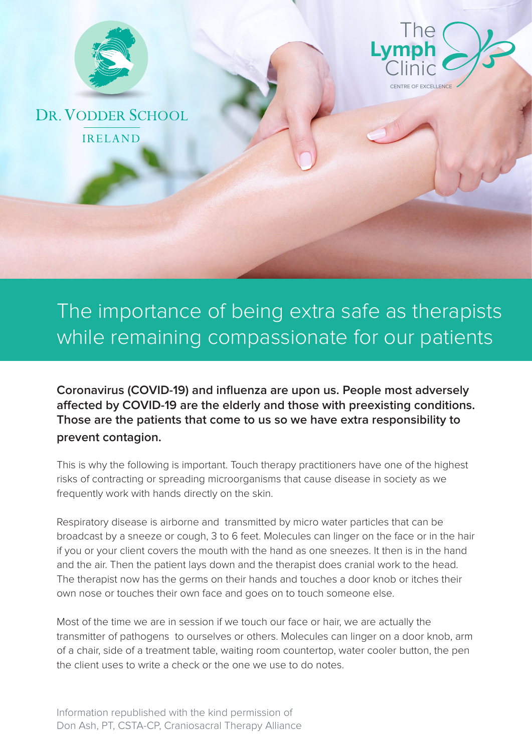



DR. VODDER SCHOOL **IRELAND** 

## The importance of being extra safe as therapists while remaining compassionate for our patients

**Coronavirus (COVID-19) and influenza are upon us. People most adversely affected by COVID-19 are the elderly and those with preexisting conditions. Those are the patients that come to us so we have extra responsibility to prevent contagion.**

This is why the following is important. Touch therapy practitioners have one of the highest risks of contracting or spreading microorganisms that cause disease in society as we frequently work with hands directly on the skin.

Respiratory disease is airborne and transmitted by micro water particles that can be broadcast by a sneeze or cough, 3 to 6 feet. Molecules can linger on the face or in the hair if you or your client covers the mouth with the hand as one sneezes. It then is in the hand and the air. Then the patient lays down and the therapist does cranial work to the head. The therapist now has the germs on their hands and touches a door knob or itches their own nose or touches their own face and goes on to touch someone else.

Most of the time we are in session if we touch our face or hair, we are actually the transmitter of pathogens to ourselves or others. Molecules can linger on a door knob, arm of a chair, side of a treatment table, waiting room countertop, water cooler button, the pen the client uses to write a check or the one we use to do notes.